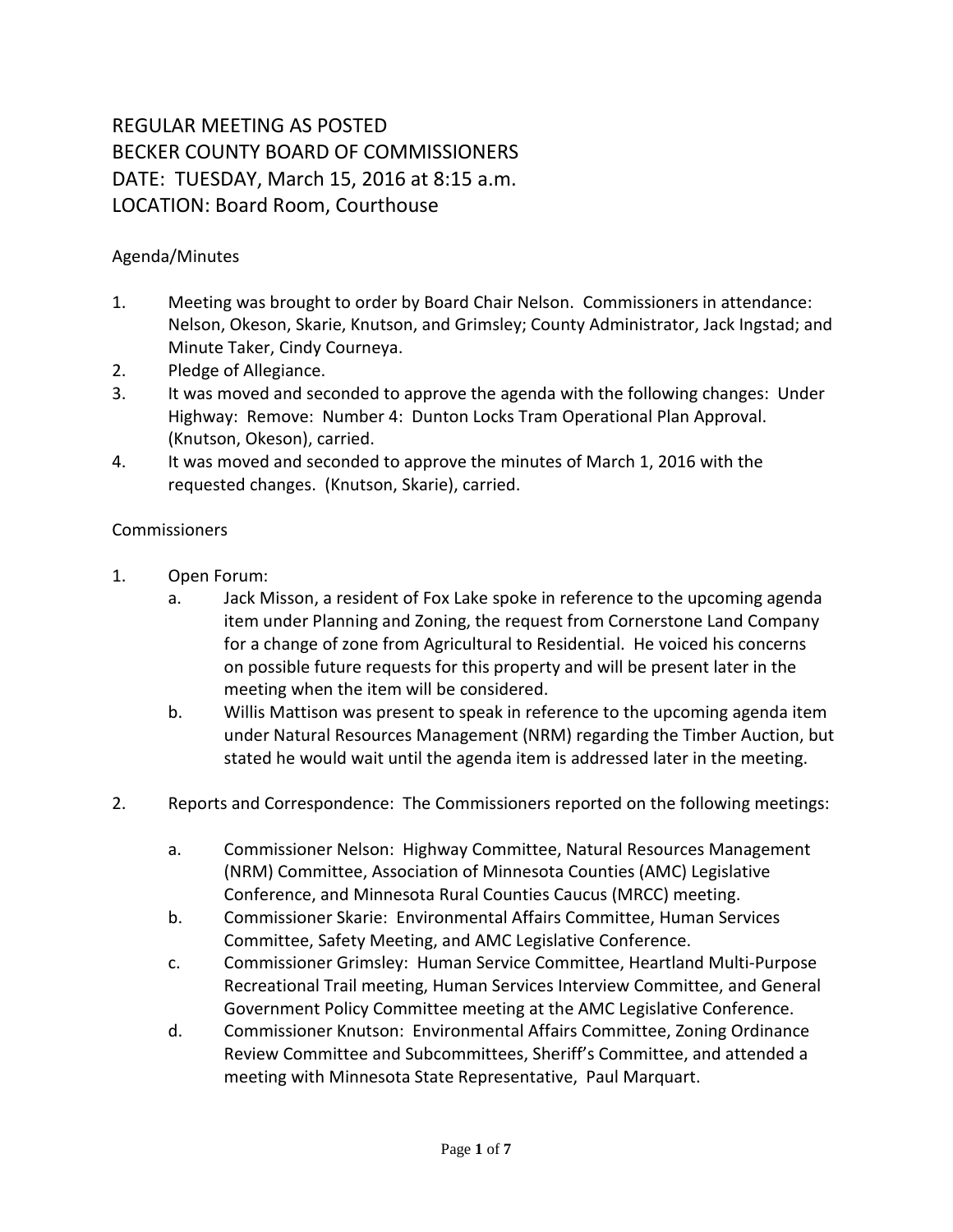## REGULAR MEETING AS POSTED BECKER COUNTY BOARD OF COMMISSIONERS DATE: TUESDAY, March 15, 2016 at 8:15 a.m. LOCATION: Board Room, Courthouse

## Agenda/Minutes

- 1. Meeting was brought to order by Board Chair Nelson. Commissioners in attendance: Nelson, Okeson, Skarie, Knutson, and Grimsley; County Administrator, Jack Ingstad; and Minute Taker, Cindy Courneya.
- 2. Pledge of Allegiance.
- 3. It was moved and seconded to approve the agenda with the following changes: Under Highway: Remove: Number 4: Dunton Locks Tram Operational Plan Approval. (Knutson, Okeson), carried.
- 4. It was moved and seconded to approve the minutes of March 1, 2016 with the requested changes. (Knutson, Skarie), carried.

## **Commissioners**

- 1. Open Forum:
	- a. Jack Misson, a resident of Fox Lake spoke in reference to the upcoming agenda item under Planning and Zoning, the request from Cornerstone Land Company for a change of zone from Agricultural to Residential. He voiced his concerns on possible future requests for this property and will be present later in the meeting when the item will be considered.
	- b. Willis Mattison was present to speak in reference to the upcoming agenda item under Natural Resources Management (NRM) regarding the Timber Auction, but stated he would wait until the agenda item is addressed later in the meeting.
- 2. Reports and Correspondence: The Commissioners reported on the following meetings:
	- a. Commissioner Nelson: Highway Committee, Natural Resources Management (NRM) Committee, Association of Minnesota Counties (AMC) Legislative Conference, and Minnesota Rural Counties Caucus (MRCC) meeting.
	- b. Commissioner Skarie: Environmental Affairs Committee, Human Services Committee, Safety Meeting, and AMC Legislative Conference.
	- c. Commissioner Grimsley: Human Service Committee, Heartland Multi-Purpose Recreational Trail meeting, Human Services Interview Committee, and General Government Policy Committee meeting at the AMC Legislative Conference.
	- d. Commissioner Knutson: Environmental Affairs Committee, Zoning Ordinance Review Committee and Subcommittees, Sheriff's Committee, and attended a meeting with Minnesota State Representative, Paul Marquart.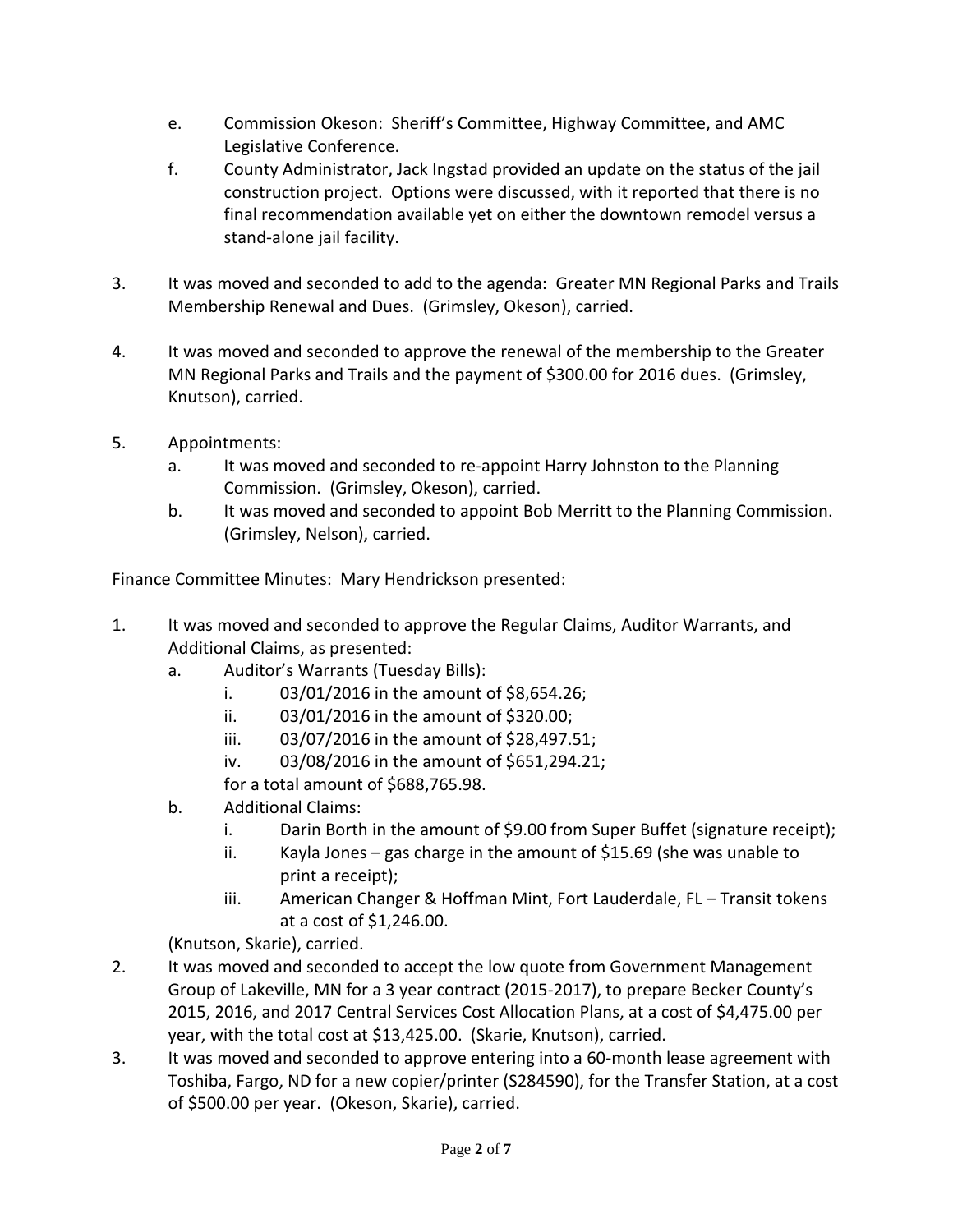- e. Commission Okeson: Sheriff's Committee, Highway Committee, and AMC Legislative Conference.
- f. County Administrator, Jack Ingstad provided an update on the status of the jail construction project. Options were discussed, with it reported that there is no final recommendation available yet on either the downtown remodel versus a stand-alone jail facility.
- 3. It was moved and seconded to add to the agenda: Greater MN Regional Parks and Trails Membership Renewal and Dues. (Grimsley, Okeson), carried.
- 4. It was moved and seconded to approve the renewal of the membership to the Greater MN Regional Parks and Trails and the payment of \$300.00 for 2016 dues. (Grimsley, Knutson), carried.
- 5. Appointments:
	- a. It was moved and seconded to re-appoint Harry Johnston to the Planning Commission. (Grimsley, Okeson), carried.
	- b. It was moved and seconded to appoint Bob Merritt to the Planning Commission. (Grimsley, Nelson), carried.

Finance Committee Minutes: Mary Hendrickson presented:

- 1. It was moved and seconded to approve the Regular Claims, Auditor Warrants, and Additional Claims, as presented:
	- a. Auditor's Warrants (Tuesday Bills):
		- i. 03/01/2016 in the amount of \$8,654.26;
		- ii. 03/01/2016 in the amount of \$320.00;
		- iii. 03/07/2016 in the amount of \$28,497.51;
		- iv. 03/08/2016 in the amount of \$651,294.21;

for a total amount of \$688,765.98.

- b. Additional Claims:
	- i. Darin Borth in the amount of \$9.00 from Super Buffet (signature receipt);
	- ii. Kayla Jones gas charge in the amount of \$15.69 (she was unable to print a receipt);
	- iii. American Changer & Hoffman Mint, Fort Lauderdale, FL Transit tokens at a cost of \$1,246.00.

(Knutson, Skarie), carried.

- 2. It was moved and seconded to accept the low quote from Government Management Group of Lakeville, MN for a 3 year contract (2015-2017), to prepare Becker County's 2015, 2016, and 2017 Central Services Cost Allocation Plans, at a cost of \$4,475.00 per year, with the total cost at \$13,425.00. (Skarie, Knutson), carried.
- 3. It was moved and seconded to approve entering into a 60-month lease agreement with Toshiba, Fargo, ND for a new copier/printer (S284590), for the Transfer Station, at a cost of \$500.00 per year. (Okeson, Skarie), carried.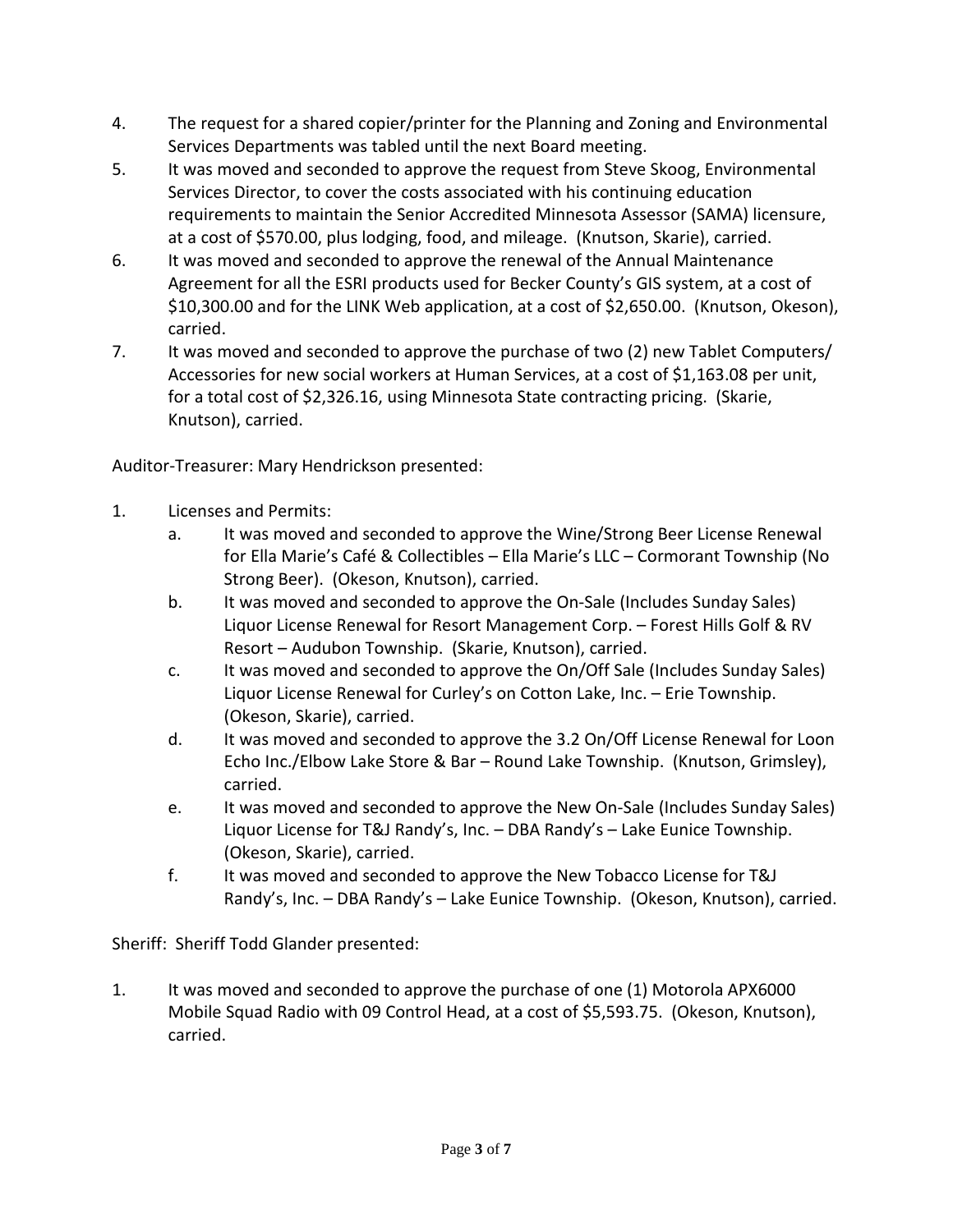- 4. The request for a shared copier/printer for the Planning and Zoning and Environmental Services Departments was tabled until the next Board meeting.
- 5. It was moved and seconded to approve the request from Steve Skoog, Environmental Services Director, to cover the costs associated with his continuing education requirements to maintain the Senior Accredited Minnesota Assessor (SAMA) licensure, at a cost of \$570.00, plus lodging, food, and mileage. (Knutson, Skarie), carried.
- 6. It was moved and seconded to approve the renewal of the Annual Maintenance Agreement for all the ESRI products used for Becker County's GIS system, at a cost of \$10,300.00 and for the LINK Web application, at a cost of \$2,650.00. (Knutson, Okeson), carried.
- 7. It was moved and seconded to approve the purchase of two (2) new Tablet Computers/ Accessories for new social workers at Human Services, at a cost of \$1,163.08 per unit, for a total cost of \$2,326.16, using Minnesota State contracting pricing. (Skarie, Knutson), carried.

Auditor-Treasurer: Mary Hendrickson presented:

- 1. Licenses and Permits:
	- a. It was moved and seconded to approve the Wine/Strong Beer License Renewal for Ella Marie's Café & Collectibles – Ella Marie's LLC – Cormorant Township (No Strong Beer). (Okeson, Knutson), carried.
	- b. It was moved and seconded to approve the On-Sale (Includes Sunday Sales) Liquor License Renewal for Resort Management Corp. – Forest Hills Golf & RV Resort – Audubon Township. (Skarie, Knutson), carried.
	- c. It was moved and seconded to approve the On/Off Sale (Includes Sunday Sales) Liquor License Renewal for Curley's on Cotton Lake, Inc. – Erie Township. (Okeson, Skarie), carried.
	- d. It was moved and seconded to approve the 3.2 On/Off License Renewal for Loon Echo Inc./Elbow Lake Store & Bar – Round Lake Township. (Knutson, Grimsley), carried.
	- e. It was moved and seconded to approve the New On-Sale (Includes Sunday Sales) Liquor License for T&J Randy's, Inc. – DBA Randy's – Lake Eunice Township. (Okeson, Skarie), carried.
	- f. It was moved and seconded to approve the New Tobacco License for T&J Randy's, Inc. – DBA Randy's – Lake Eunice Township. (Okeson, Knutson), carried.

Sheriff: Sheriff Todd Glander presented:

1. It was moved and seconded to approve the purchase of one (1) Motorola APX6000 Mobile Squad Radio with 09 Control Head, at a cost of \$5,593.75. (Okeson, Knutson), carried.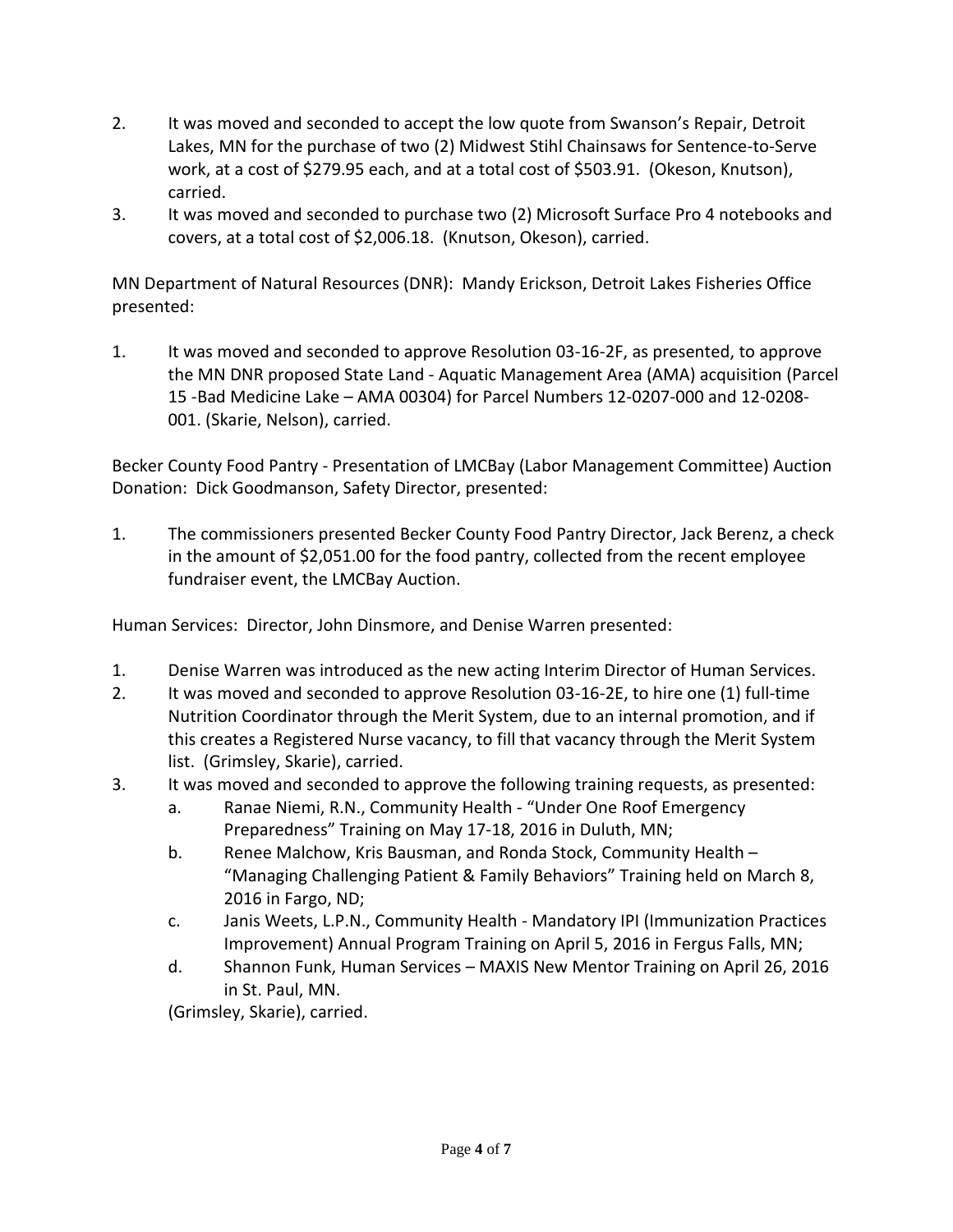- 2. It was moved and seconded to accept the low quote from Swanson's Repair, Detroit Lakes, MN for the purchase of two (2) Midwest Stihl Chainsaws for Sentence-to-Serve work, at a cost of \$279.95 each, and at a total cost of \$503.91. (Okeson, Knutson), carried.
- 3. It was moved and seconded to purchase two (2) Microsoft Surface Pro 4 notebooks and covers, at a total cost of \$2,006.18. (Knutson, Okeson), carried.

MN Department of Natural Resources (DNR): Mandy Erickson, Detroit Lakes Fisheries Office presented:

1. It was moved and seconded to approve Resolution 03-16-2F, as presented, to approve the MN DNR proposed State Land - Aquatic Management Area (AMA) acquisition (Parcel 15 -Bad Medicine Lake – AMA 00304) for Parcel Numbers 12-0207-000 and 12-0208- 001. (Skarie, Nelson), carried.

Becker County Food Pantry - Presentation of LMCBay (Labor Management Committee) Auction Donation: Dick Goodmanson, Safety Director, presented:

1. The commissioners presented Becker County Food Pantry Director, Jack Berenz, a check in the amount of \$2,051.00 for the food pantry, collected from the recent employee fundraiser event, the LMCBay Auction.

Human Services: Director, John Dinsmore, and Denise Warren presented:

- 1. Denise Warren was introduced as the new acting Interim Director of Human Services.
- 2. It was moved and seconded to approve Resolution 03-16-2E, to hire one (1) full-time Nutrition Coordinator through the Merit System, due to an internal promotion, and if this creates a Registered Nurse vacancy, to fill that vacancy through the Merit System list. (Grimsley, Skarie), carried.
- 3. It was moved and seconded to approve the following training requests, as presented:
	- a. Ranae Niemi, R.N., Community Health "Under One Roof Emergency Preparedness" Training on May 17-18, 2016 in Duluth, MN;
	- b. Renee Malchow, Kris Bausman, and Ronda Stock, Community Health "Managing Challenging Patient & Family Behaviors" Training held on March 8, 2016 in Fargo, ND;
	- c. Janis Weets, L.P.N., Community Health Mandatory IPI (Immunization Practices Improvement) Annual Program Training on April 5, 2016 in Fergus Falls, MN;
	- d. Shannon Funk, Human Services MAXIS New Mentor Training on April 26, 2016 in St. Paul, MN.

(Grimsley, Skarie), carried.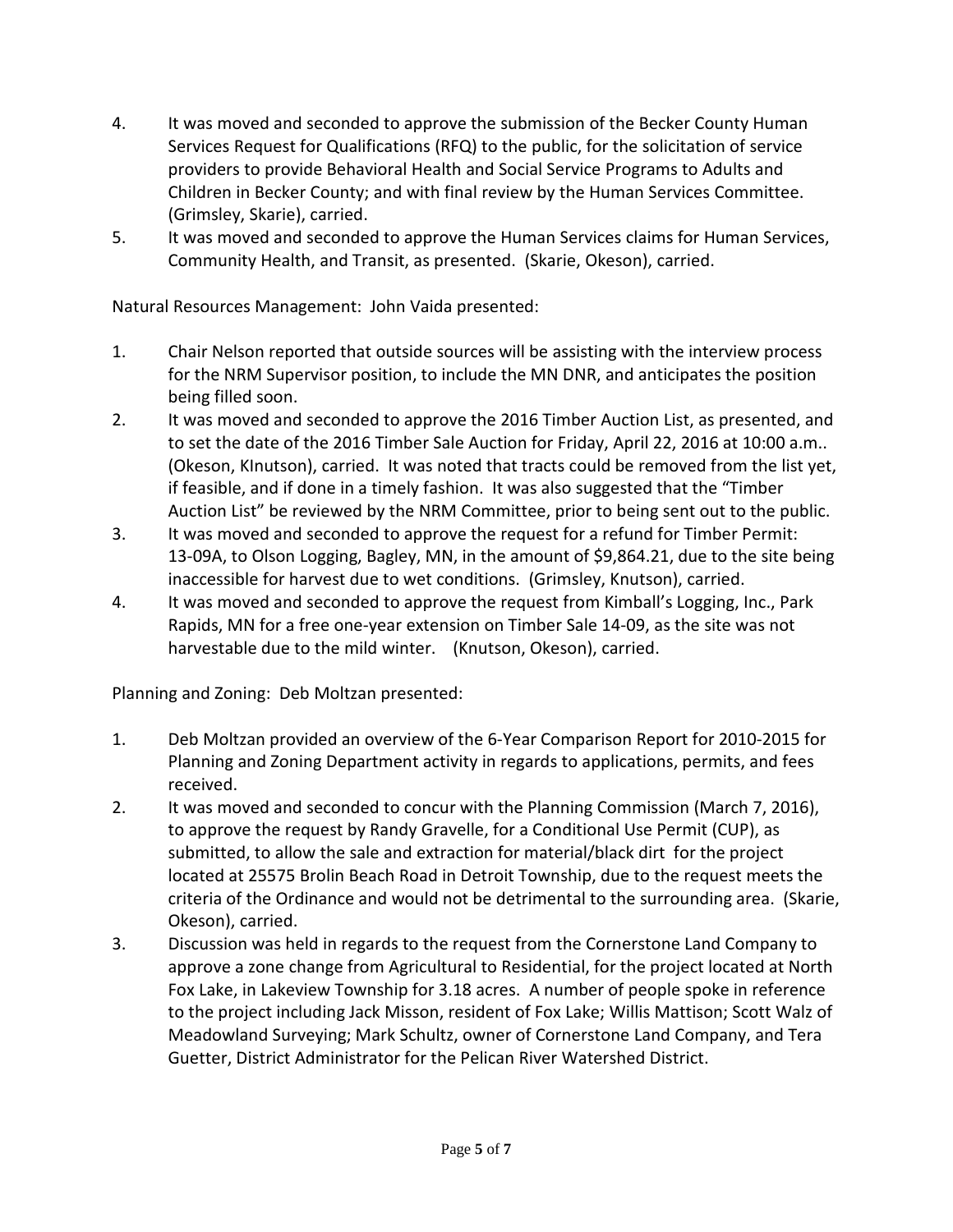- 4. It was moved and seconded to approve the submission of the Becker County Human Services Request for Qualifications (RFQ) to the public, for the solicitation of service providers to provide Behavioral Health and Social Service Programs to Adults and Children in Becker County; and with final review by the Human Services Committee. (Grimsley, Skarie), carried.
- 5. It was moved and seconded to approve the Human Services claims for Human Services, Community Health, and Transit, as presented. (Skarie, Okeson), carried.

Natural Resources Management: John Vaida presented:

- 1. Chair Nelson reported that outside sources will be assisting with the interview process for the NRM Supervisor position, to include the MN DNR, and anticipates the position being filled soon.
- 2. It was moved and seconded to approve the 2016 Timber Auction List, as presented, and to set the date of the 2016 Timber Sale Auction for Friday, April 22, 2016 at 10:00 a.m.. (Okeson, KInutson), carried. It was noted that tracts could be removed from the list yet, if feasible, and if done in a timely fashion. It was also suggested that the "Timber Auction List" be reviewed by the NRM Committee, prior to being sent out to the public.
- 3. It was moved and seconded to approve the request for a refund for Timber Permit: 13-09A, to Olson Logging, Bagley, MN, in the amount of \$9,864.21, due to the site being inaccessible for harvest due to wet conditions. (Grimsley, Knutson), carried.
- 4. It was moved and seconded to approve the request from Kimball's Logging, Inc., Park Rapids, MN for a free one-year extension on Timber Sale 14-09, as the site was not harvestable due to the mild winter. (Knutson, Okeson), carried.

Planning and Zoning: Deb Moltzan presented:

- 1. Deb Moltzan provided an overview of the 6-Year Comparison Report for 2010-2015 for Planning and Zoning Department activity in regards to applications, permits, and fees received.
- 2. It was moved and seconded to concur with the Planning Commission (March 7, 2016), to approve the request by Randy Gravelle, for a Conditional Use Permit (CUP), as submitted, to allow the sale and extraction for material/black dirt for the project located at 25575 Brolin Beach Road in Detroit Township, due to the request meets the criteria of the Ordinance and would not be detrimental to the surrounding area. (Skarie, Okeson), carried.
- 3. Discussion was held in regards to the request from the Cornerstone Land Company to approve a zone change from Agricultural to Residential, for the project located at North Fox Lake, in Lakeview Township for 3.18 acres. A number of people spoke in reference to the project including Jack Misson, resident of Fox Lake; Willis Mattison; Scott Walz of Meadowland Surveying; Mark Schultz, owner of Cornerstone Land Company, and Tera Guetter, District Administrator for the Pelican River Watershed District.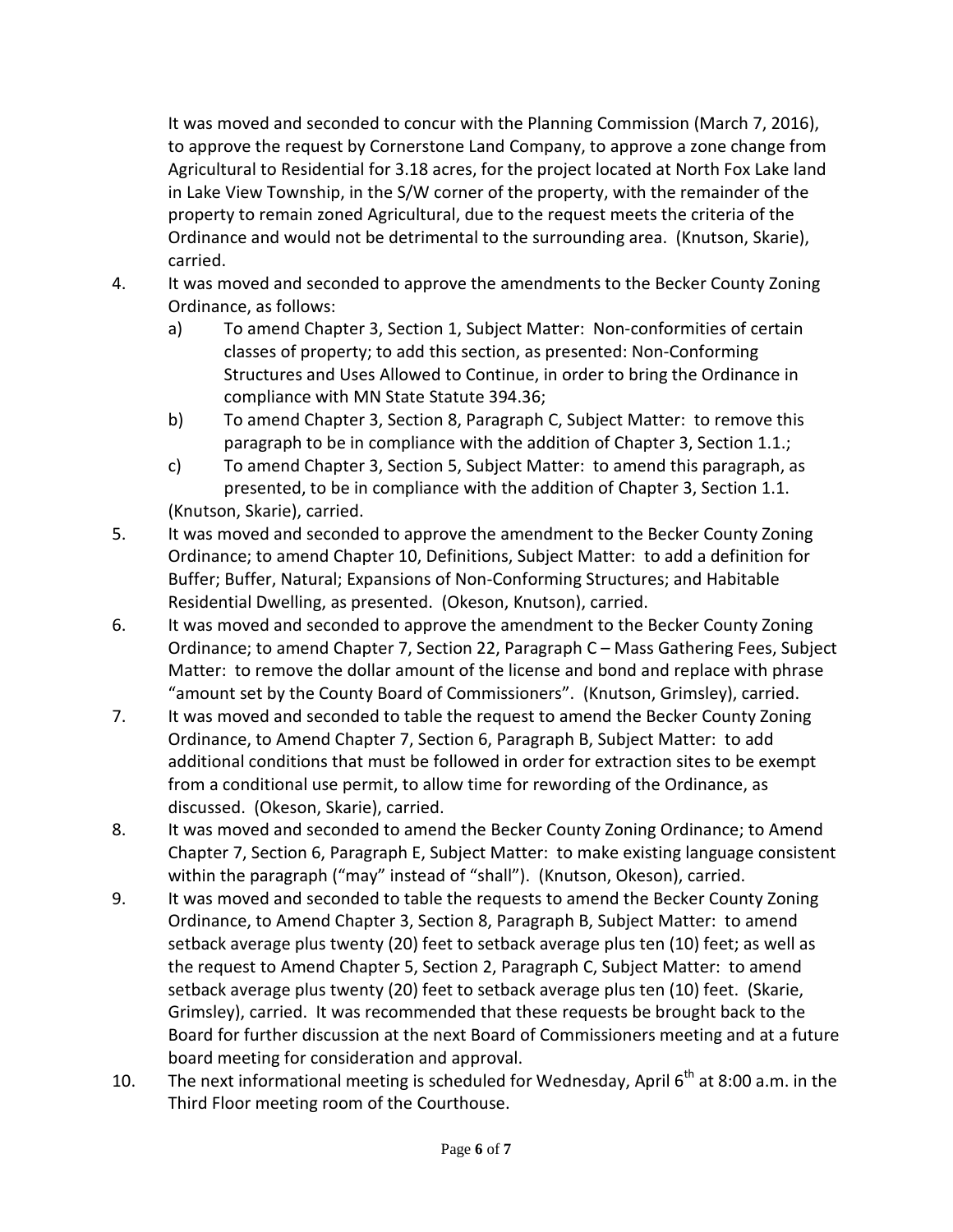It was moved and seconded to concur with the Planning Commission (March 7, 2016), to approve the request by Cornerstone Land Company, to approve a zone change from Agricultural to Residential for 3.18 acres, for the project located at North Fox Lake land in Lake View Township, in the S/W corner of the property, with the remainder of the property to remain zoned Agricultural, due to the request meets the criteria of the Ordinance and would not be detrimental to the surrounding area. (Knutson, Skarie), carried.

- 
- 4. It was moved and seconded to approve the amendments to the Becker County Zoning Ordinance, as follows:
	- a) To amend Chapter 3, Section 1, Subject Matter: Non-conformities of certain classes of property; to add this section, as presented: Non-Conforming Structures and Uses Allowed to Continue, in order to bring the Ordinance in compliance with MN State Statute 394.36;
	- b) To amend Chapter 3, Section 8, Paragraph C, Subject Matter: to remove this paragraph to be in compliance with the addition of Chapter 3, Section 1.1.;
	- c) To amend Chapter 3, Section 5, Subject Matter: to amend this paragraph, as presented, to be in compliance with the addition of Chapter 3, Section 1.1. (Knutson, Skarie), carried.
- 5. It was moved and seconded to approve the amendment to the Becker County Zoning Ordinance; to amend Chapter 10, Definitions, Subject Matter: to add a definition for Buffer; Buffer, Natural; Expansions of Non-Conforming Structures; and Habitable Residential Dwelling, as presented. (Okeson, Knutson), carried.
- 6. It was moved and seconded to approve the amendment to the Becker County Zoning Ordinance; to amend Chapter 7, Section 22, Paragraph C – Mass Gathering Fees, Subject Matter: to remove the dollar amount of the license and bond and replace with phrase "amount set by the County Board of Commissioners". (Knutson, Grimsley), carried.
- 7. It was moved and seconded to table the request to amend the Becker County Zoning Ordinance, to Amend Chapter 7, Section 6, Paragraph B, Subject Matter: to add additional conditions that must be followed in order for extraction sites to be exempt from a conditional use permit, to allow time for rewording of the Ordinance, as discussed. (Okeson, Skarie), carried.
- 8. It was moved and seconded to amend the Becker County Zoning Ordinance; to Amend Chapter 7, Section 6, Paragraph E, Subject Matter: to make existing language consistent within the paragraph ("may" instead of "shall"). (Knutson, Okeson), carried.
- 9. It was moved and seconded to table the requests to amend the Becker County Zoning Ordinance, to Amend Chapter 3, Section 8, Paragraph B, Subject Matter: to amend setback average plus twenty (20) feet to setback average plus ten (10) feet; as well as the request to Amend Chapter 5, Section 2, Paragraph C, Subject Matter: to amend setback average plus twenty (20) feet to setback average plus ten (10) feet. (Skarie, Grimsley), carried. It was recommended that these requests be brought back to the Board for further discussion at the next Board of Commissioners meeting and at a future board meeting for consideration and approval.
- 10. The next informational meeting is scheduled for Wednesday, April  $6<sup>th</sup>$  at 8:00 a.m. in the Third Floor meeting room of the Courthouse.